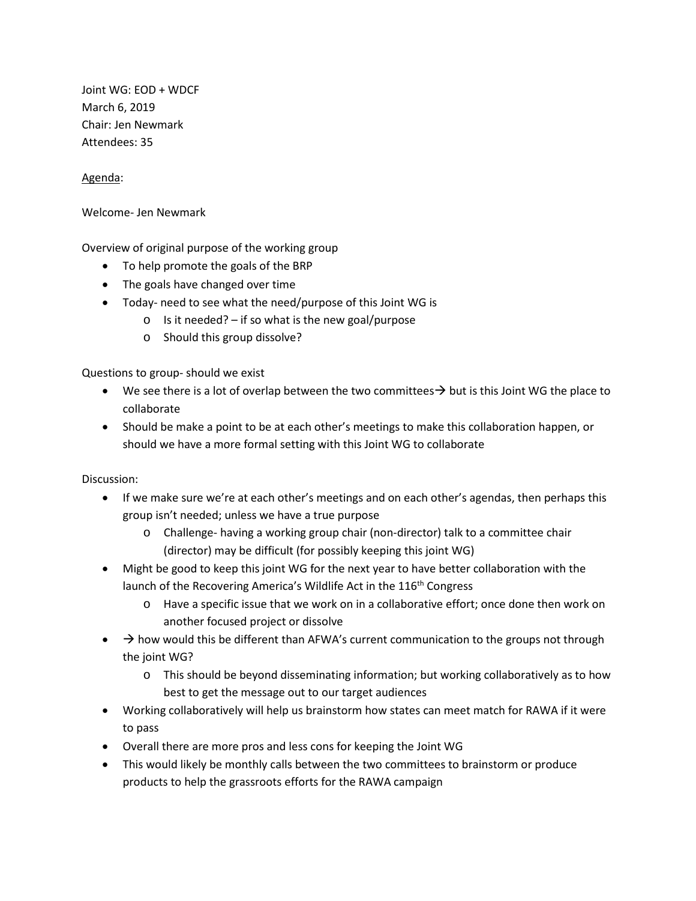Joint WG: EOD + WDCF March 6, 2019 Chair: Jen Newmark Attendees: 35

Agenda:

Welcome- Jen Newmark

Overview of original purpose of the working group

- To help promote the goals of the BRP
- The goals have changed over time
- Today- need to see what the need/purpose of this Joint WG is
	- $\circ$  Is it needed? if so what is the new goal/purpose
	- o Should this group dissolve?

Questions to group- should we exist

- We see there is a lot of overlap between the two committees  $\rightarrow$  but is this Joint WG the place to collaborate
- Should be make a point to be at each other's meetings to make this collaboration happen, or should we have a more formal setting with this Joint WG to collaborate

Discussion:

- If we make sure we're at each other's meetings and on each other's agendas, then perhaps this group isn't needed; unless we have a true purpose
	- o Challenge- having a working group chair (non-director) talk to a committee chair (director) may be difficult (for possibly keeping this joint WG)
- Might be good to keep this joint WG for the next year to have better collaboration with the launch of the Recovering America's Wildlife Act in the 116<sup>th</sup> Congress
	- o Have a specific issue that we work on in a collaborative effort; once done then work on another focused project or dissolve
- $\rightarrow$  how would this be different than AFWA's current communication to the groups not through the joint WG?
	- o This should be beyond disseminating information; but working collaboratively as to how best to get the message out to our target audiences
- Working collaboratively will help us brainstorm how states can meet match for RAWA if it were to pass
- Overall there are more pros and less cons for keeping the Joint WG
- This would likely be monthly calls between the two committees to brainstorm or produce products to help the grassroots efforts for the RAWA campaign